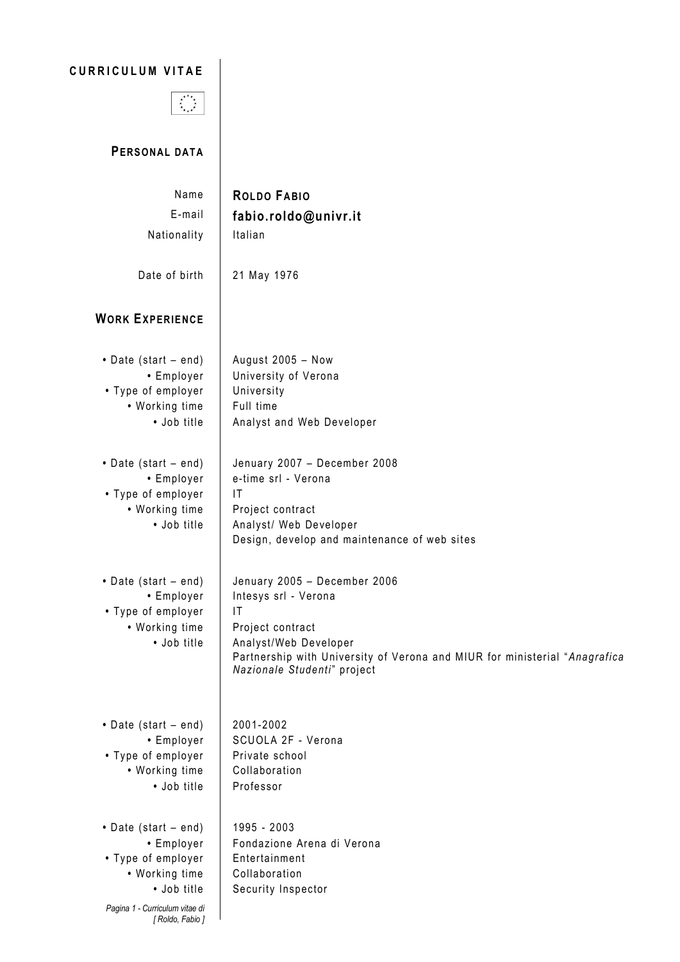## CURRICULUM VITAE



## **PERSONAL DATA**

| Name                                                                                                                                          | <b>ROLDO FABIO</b>                                                                                                                                                                                                    |
|-----------------------------------------------------------------------------------------------------------------------------------------------|-----------------------------------------------------------------------------------------------------------------------------------------------------------------------------------------------------------------------|
| E-mail                                                                                                                                        | fabio.roldo@univr.it                                                                                                                                                                                                  |
| Nationality                                                                                                                                   | Italian                                                                                                                                                                                                               |
| Date of birth                                                                                                                                 | 21 May 1976                                                                                                                                                                                                           |
| <b>WORK EXPERIENCE</b>                                                                                                                        |                                                                                                                                                                                                                       |
| • Date (start – end)<br>• Employer<br>• Type of employer<br>• Working time<br>· Job title                                                     | August 2005 - Now<br>University of Verona<br>University<br>Full time<br>Analyst and Web Developer                                                                                                                     |
| • Date (start – end)<br>• Employer<br>• Type of employer<br>• Working time<br>· Job title                                                     | Jenuary 2007 - December 2008<br>e-time srl - Verona<br>ΙT<br>Project contract<br>Analyst/ Web Developer<br>Design, develop and maintenance of web sites                                                               |
| • Date (start – end)<br>• Employer<br>• Type of employer<br>• Working time<br>· Job title                                                     | Jenuary 2005 - December 2006<br>Intesys srl - Verona<br> T <br>Project contract<br>Analyst/Web Developer<br>Partnership with University of Verona and MIUR for ministerial "Anagrafica<br>Nazionale Studenti" project |
| • Date (start – end)<br>• Employer<br>• Type of employer<br>• Working time<br>· Job title                                                     | 2001-2002<br>SCUOLA 2F - Verona<br>Private school<br>Collaboration<br>Professor                                                                                                                                       |
| • Date (start – end)<br>• Employer<br>• Type of employer<br>• Working time<br>• Job title<br>Pagina 1 - Curriculum vitae di<br>[Roldo, Fabio] | 1995 - 2003<br>Fondazione Arena di Verona<br>Entertainment<br>Collaboration<br>Security Inspector                                                                                                                     |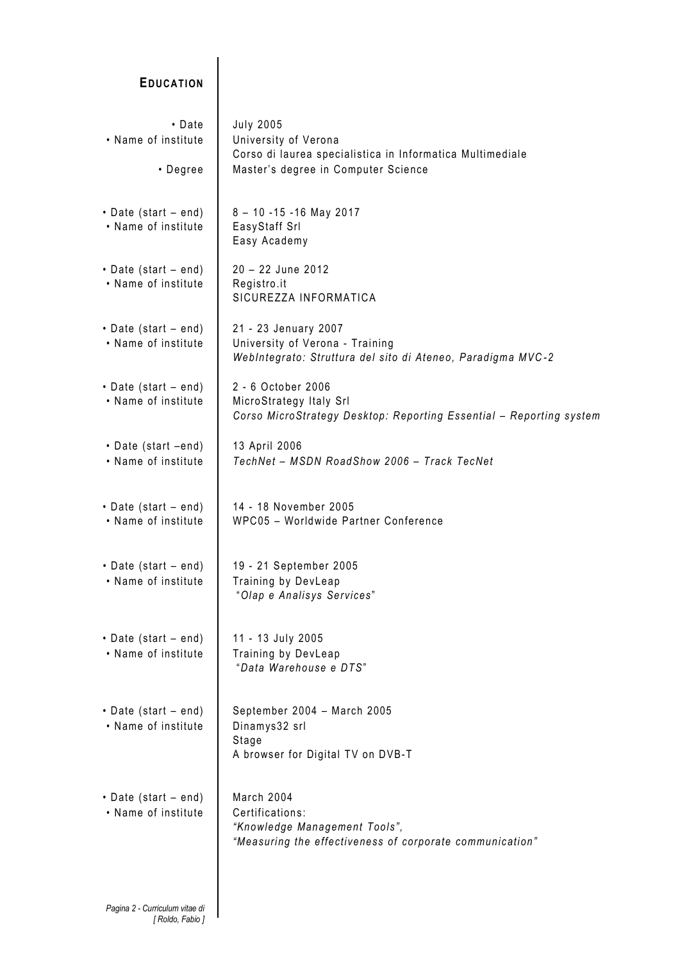## **EDUCATION**

| • Date<br>• Name of institute<br>$\cdot$ Degree   | <b>July 2005</b><br>University of Verona<br>Corso di laurea specialistica in Informatica Multimediale<br>Master's degree in Computer Science |
|---------------------------------------------------|----------------------------------------------------------------------------------------------------------------------------------------------|
| • Date (start – end)<br>• Name of institute       | $8 - 10 - 15 - 16$ May 2017<br>EasyStaff Srl<br>Easy Academy                                                                                 |
| • Date (start $-$ end)<br>• Name of institute     | 20 - 22 June 2012<br>Registro.it<br>SICUREZZA INFORMATICA                                                                                    |
| • Date (start $-$ end)<br>• Name of institute     | 21 - 23 Jenuary 2007<br>University of Verona - Training<br>WebIntegrato: Struttura del sito di Ateneo, Paradigma MVC-2                       |
| $\cdot$ Date (start – end)<br>• Name of institute | 2 - 6 October 2006<br>MicroStrategy Italy Srl<br>Corso MicroStrategy Desktop: Reporting Essential - Reporting system                         |
| • Date (start -end)<br>• Name of institute        | 13 April 2006<br>TechNet - MSDN RoadShow 2006 - Track TecNet                                                                                 |
| • Date (start $-$ end)<br>• Name of institute     | 14 - 18 November 2005<br>WPC05 - Worldwide Partner Conference                                                                                |
| • Date (start $-$ end)<br>• Name of institute     | 19 - 21 September 2005<br>Training by DevLeap<br>"Olap e Analisys Services"                                                                  |
| $\cdot$ Date (start – end)<br>• Name of institute | 11 - 13 July 2005<br>Training by DevLeap<br>"Data Warehouse e DTS"                                                                           |
| • Date (start $-$ end)<br>• Name of institute     | September 2004 - March 2005<br>Dinamys32 srl<br>Stage<br>A browser for Digital TV on DVB-T                                                   |
| • Date (start $-$ end)<br>• Name of institute     | March 2004<br>Certifications:<br>"Knowledge Management Tools",<br>"Measuring the effectiveness of corporate communication"                   |
|                                                   |                                                                                                                                              |